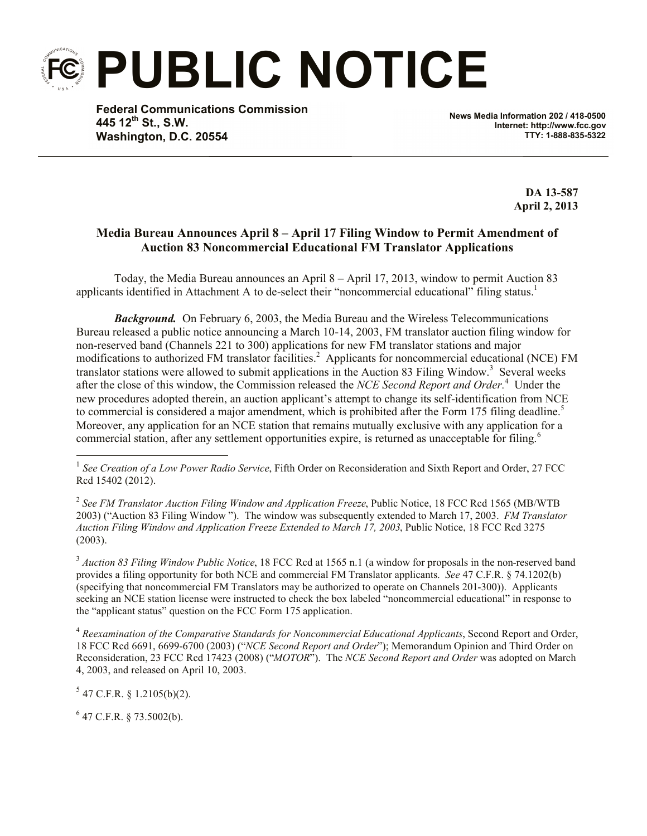**PUBLIC NOTICE**

**Federal Communications Commission 445 12th St., S.W. Washington, D.C. 20554**

**News Media Information 202 / 418-0500 Internet: http://www.fcc.gov TTY: 1-888-835-5322**

> **DA 13-587 April 2, 2013**

## **Media Bureau Announces April 8 – April 17 Filing Window to Permit Amendment of Auction 83 Noncommercial Educational FM Translator Applications**

Today, the Media Bureau announces an April 8 – April 17, 2013, window to permit Auction 83 applicants identified in Attachment A to de-select their "noncommercial educational" filing status.<sup>1</sup>

*Background.* On February 6, 2003, the Media Bureau and the Wireless Telecommunications Bureau released a public notice announcing a March 10-14, 2003, FM translator auction filing window for non-reserved band (Channels 221 to 300) applications for new FM translator stations and major modifications to authorized FM translator facilities.<sup>2</sup> Applicants for noncommercial educational (NCE) FM translator stations were allowed to submit applications in the Auction 83 Filing Window.<sup>3</sup> Several weeks after the close of this window, the Commission released the *NCE Second Report and Order.* <sup>4</sup> Under the new procedures adopted therein, an auction applicant's attempt to change its self-identification from NCE to commercial is considered a major amendment, which is prohibited after the Form 175 filing deadline.<sup>5</sup> Moreover, any application for an NCE station that remains mutually exclusive with any application for a commercial station, after any settlement opportunities expire, is returned as unacceptable for filing.<sup>6</sup>

2 *See FM Translator Auction Filing Window and Application Freeze*, Public Notice, 18 FCC Rcd 1565 (MB/WTB 2003) ("Auction 83 Filing Window "). The window was subsequently extended to March 17, 2003. *FM Translator Auction Filing Window and Application Freeze Extended to March 17, 2003*, Public Notice, 18 FCC Rcd 3275 (2003).

<sup>3</sup> *Auction 83 Filing Window Public Notice*, 18 FCC Rcd at 1565 n.1 (a window for proposals in the non-reserved band provides a filing opportunity for both NCE and commercial FM Translator applicants. *See* 47 C.F.R. § 74.1202(b) (specifying that noncommercial FM Translators may be authorized to operate on Channels 201-300)). Applicants seeking an NCE station license were instructed to check the box labeled "noncommercial educational" in response to the "applicant status" question on the FCC Form 175 application.

<sup>4</sup> *Reexamination of the Comparative Standards for Noncommercial Educational Applicants*, Second Report and Order, 18 FCC Rcd 6691, 6699-6700 (2003) ("*NCE Second Report and Order*"); Memorandum Opinion and Third Order on Reconsideration, 23 FCC Rcd 17423 (2008) ("*MOTOR*"). The *NCE Second Report and Order* was adopted on March 4, 2003, and released on April 10, 2003.

 $5$  47 C.F.R. § 1.2105(b)(2).

l

 $6$  47 C.F.R. § 73.5002(b).

<sup>&</sup>lt;sup>1</sup> See Creation of a Low Power Radio Service, Fifth Order on Reconsideration and Sixth Report and Order, 27 FCC Rcd 15402 (2012).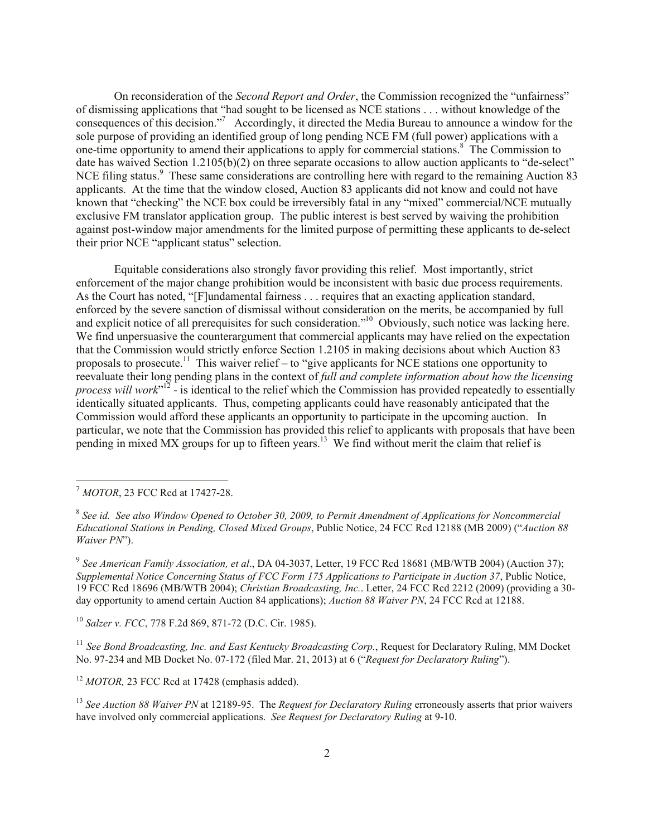On reconsideration of the *Second Report and Order*, the Commission recognized the "unfairness" of dismissing applications that "had sought to be licensed as NCE stations . . . without knowledge of the consequences of this decision."<sup>7</sup> Accordingly, it directed the Media Bureau to announce a window for the sole purpose of providing an identified group of long pending NCE FM (full power) applications with a one-time opportunity to amend their applications to apply for commercial stations.<sup>8</sup> The Commission to date has waived Section 1.2105(b)(2) on three separate occasions to allow auction applicants to "de-select" NCE filing status.<sup>9</sup> These same considerations are controlling here with regard to the remaining Auction 83 applicants. At the time that the window closed, Auction 83 applicants did not know and could not have known that "checking" the NCE box could be irreversibly fatal in any "mixed" commercial/NCE mutually exclusive FM translator application group. The public interest is best served by waiving the prohibition against post-window major amendments for the limited purpose of permitting these applicants to de-select their prior NCE "applicant status" selection.

Equitable considerations also strongly favor providing this relief. Most importantly, strict enforcement of the major change prohibition would be inconsistent with basic due process requirements. As the Court has noted, "[F]undamental fairness . . . requires that an exacting application standard, enforced by the severe sanction of dismissal without consideration on the merits, be accompanied by full and explicit notice of all prerequisites for such consideration."<sup>10</sup> Obviously, such notice was lacking here. We find unpersuasive the counterargument that commercial applicants may have relied on the expectation that the Commission would strictly enforce Section 1.2105 in making decisions about which Auction 83 proposals to prosecute.<sup>11</sup> This waiver relief – to "give applicants for NCE stations one opportunity to reevaluate their long pending plans in the context of *full and complete information about how the licensing*  process will work<sup>"12</sup> - is identical to the relief which the Commission has provided repeatedly to essentially identically situated applicants. Thus, competing applicants could have reasonably anticipated that the Commission would afford these applicants an opportunity to participate in the upcoming auction. In particular, we note that the Commission has provided this relief to applicants with proposals that have been pending in mixed MX groups for up to fifteen years.<sup>13</sup> We find without merit the claim that relief is

l

9 *See American Family Association, et al*., DA 04-3037, Letter, 19 FCC Rcd 18681 (MB/WTB 2004) (Auction 37); *Supplemental Notice Concerning Status of FCC Form 175 Applications to Participate in Auction 37*, Public Notice, 19 FCC Rcd 18696 (MB/WTB 2004); *Christian Broadcasting, Inc.*. Letter, 24 FCC Rcd 2212 (2009) (providing a 30 day opportunity to amend certain Auction 84 applications); *Auction 88 Waiver PN*, 24 FCC Rcd at 12188.

<sup>10</sup> *Salzer v. FCC*, 778 F.2d 869, 871-72 (D.C. Cir. 1985).

<sup>11</sup> *See Bond Broadcasting, Inc. and East Kentucky Broadcasting Corp.*, Request for Declaratory Ruling, MM Docket No. 97-234 and MB Docket No. 07-172 (filed Mar. 21, 2013) at 6 ("*Request for Declaratory Ruling*").

<sup>12</sup> *MOTOR*, 23 FCC Rcd at 17428 (emphasis added).

<sup>13</sup> *See Auction 88 Waiver PN* at 12189-95. The *Request for Declaratory Ruling* erroneously asserts that prior waivers have involved only commercial applications. *See Request for Declaratory Ruling* at 9-10.

<sup>7</sup> *MOTOR*, 23 FCC Rcd at 17427-28.

<sup>8</sup> *See id. See also Window Opened to October 30, 2009, to Permit Amendment of Applications for Noncommercial Educational Stations in Pending, Closed Mixed Groups*, Public Notice, 24 FCC Rcd 12188 (MB 2009) ("*Auction 88 Waiver PN*").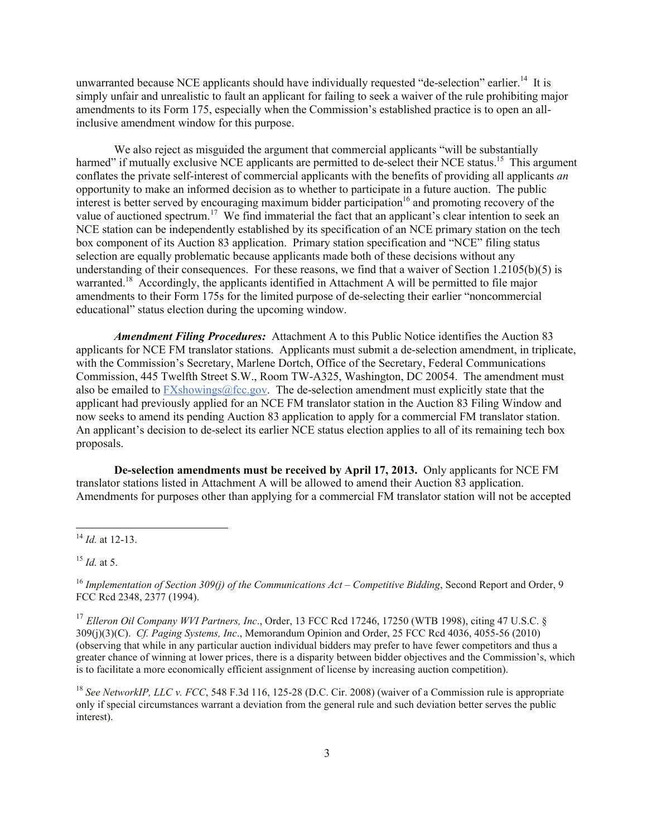unwarranted because NCE applicants should have individually requested "de-selection" earlier.<sup>14</sup> It is simply unfair and unrealistic to fault an applicant for failing to seek a waiver of the rule prohibiting major amendments to its Form 175, especially when the Commission's established practice is to open an allinclusive amendment window for this purpose.

We also reject as misguided the argument that commercial applicants "will be substantially harmed" if mutually exclusive NCE applicants are permitted to de-select their NCE status.<sup>15</sup> This argument conflates the private self-interest of commercial applicants with the benefits of providing all applicants *an*  opportunity to make an informed decision as to whether to participate in a future auction. The public interest is better served by encouraging maximum bidder participation<sup>16</sup> and promoting recovery of the value of auctioned spectrum.<sup>17</sup> We find immaterial the fact that an applicant's clear intention to seek an NCE station can be independently established by its specification of an NCE primary station on the tech box component of its Auction 83 application. Primary station specification and "NCE" filing status selection are equally problematic because applicants made both of these decisions without any understanding of their consequences. For these reasons, we find that a waiver of Section 1.2105(b)(5) is warranted.<sup>18</sup> Accordingly, the applicants identified in Attachment A will be permitted to file major amendments to their Form 175s for the limited purpose of de-selecting their earlier "noncommercial educational" status election during the upcoming window.

*Amendment Filing Procedures:* Attachment A to this Public Notice identifies the Auction 83 applicants for NCE FM translator stations. Applicants must submit a de-selection amendment, in triplicate, with the Commission's Secretary, Marlene Dortch, Office of the Secretary, Federal Communications Commission, 445 Twelfth Street S.W., Room TW-A325, Washington, DC 20054. The amendment must also be emailed to FXshowings@fcc.gov. The de-selection amendment must explicitly state that the applicant had previously applied for an NCE FM translator station in the Auction 83 Filing Window and now seeks to amend its pending Auction 83 application to apply for a commercial FM translator station. An applicant's decision to de-select its earlier NCE status election applies to all of its remaining tech box proposals.

**De-selection amendments must be received by April 17, 2013.** Only applicants for NCE FM translator stations listed in Attachment A will be allowed to amend their Auction 83 application. Amendments for purposes other than applying for a commercial FM translator station will not be accepted

l

<sup>14</sup> *Id.* at 12-13.

<sup>15</sup> *Id.* at 5.

<sup>16</sup> *Implementation of Section 309(j) of the Communications Act – Competitive Bidding*, Second Report and Order, 9 FCC Rcd 2348, 2377 (1994).

<sup>&</sup>lt;sup>17</sup> Elleron Oil Company WVI Partners, Inc., Order, 13 FCC Rcd 17246, 17250 (WTB 1998), citing 47 U.S.C. § 309(j)(3)(C). *Cf. Paging Systems, Inc*., Memorandum Opinion and Order, 25 FCC Rcd 4036, 4055-56 (2010) (observing that while in any particular auction individual bidders may prefer to have fewer competitors and thus a greater chance of winning at lower prices, there is a disparity between bidder objectives and the Commission's, which is to facilitate a more economically efficient assignment of license by increasing auction competition).

<sup>&</sup>lt;sup>18</sup> *See NetworkIP, LLC v. FCC*, 548 F.3d 116, 125-28 (D.C. Cir. 2008) (waiver of a Commission rule is appropriate only if special circumstances warrant a deviation from the general rule and such deviation better serves the public interest).